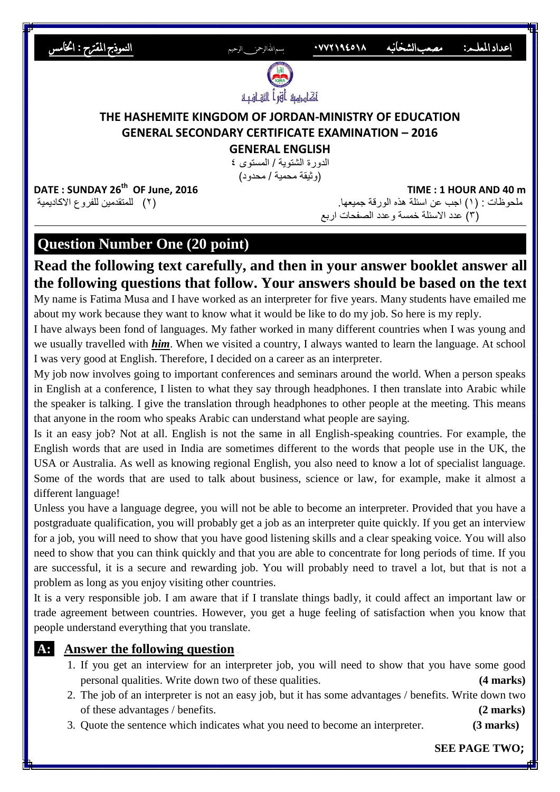

## **Question Number One (20 point)**

# **Read the following text carefully, and then in your answer booklet answer all the following questions that follow. Your answers should be based on the text.**

My name is Fatima Musa and I have worked as an interpreter for five years. Many students have emailed me about my work because they want to know what it would be like to do my job. So here is my reply.

I have always been fond of languages. My father worked in many different countries when I was young and we usually travelled with *him*. When we visited a country, I always wanted to learn the language. At school I was very good at English. Therefore, I decided on a career as an interpreter.

My job now involves going to important conferences and seminars around the world. When a person speaks in English at a conference, I listen to what they say through headphones. I then translate into Arabic while the speaker is talking. I give the translation through headphones to other people at the meeting. This means that anyone in the room who speaks Arabic can understand what people are saying.

Is it an easy job? Not at all. English is not the same in all English-speaking countries. For example, the English words that are used in India are sometimes different to the words that people use in the UK, the USA or Australia. As well as knowing regional English, you also need to know a lot of specialist language. Some of the words that are used to talk about business, science or law, for example, make it almost a different language!

Unless you have a language degree, you will not be able to become an interpreter. Provided that you have a postgraduate qualification, you will probably get a job as an interpreter quite quickly. If you get an interview for a job, you will need to show that you have good listening skills and a clear speaking voice. You will also need to show that you can think quickly and that you are able to concentrate for long periods of time. If you are successful, it is a secure and rewarding job. You will probably need to travel a lot, but that is not a problem as long as you enjoy visiting other countries.

It is a very responsible job. I am aware that if I translate things badly, it could affect an important law or trade agreement between countries. However, you get a huge feeling of satisfaction when you know that people understand everything that you translate.

## **A: Answer the following question .**

- 1. If you get an interview for an interpreter job, you will need to show that you have some good personal qualities. Write down two of these qualities. **(4 marks)**
- 2. The job of an interpreter is not an easy job, but it has some advantages / benefits. Write down two of these advantages / benefits. **(2 marks)**
- 3. Quote the sentence which indicates what you need to become an interpreter. **(3 marks)**

 **SEE PAGE TWO;**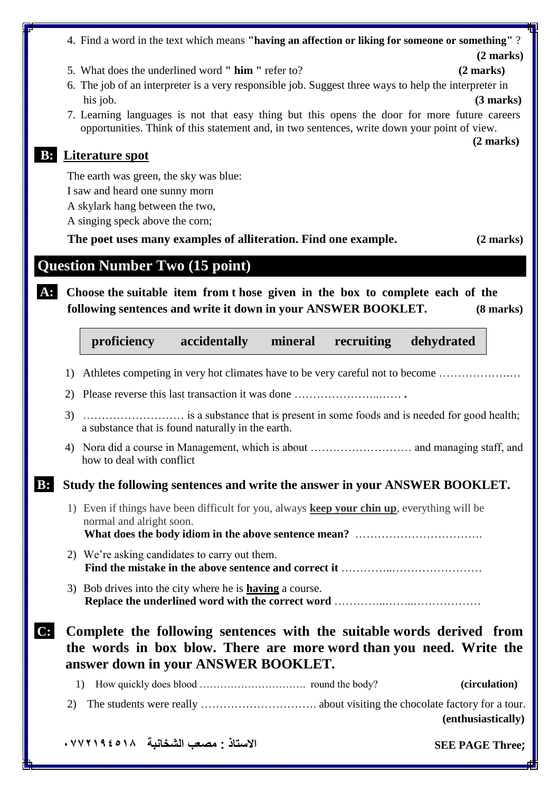|       |    | . Learning languages is not that easy thing but this opens the door for more ruttie careers<br>opportunities. Think of this statement and, in two sentences, write down your point of view. | $(2 \text{ marks})$    |
|-------|----|---------------------------------------------------------------------------------------------------------------------------------------------------------------------------------------------|------------------------|
|       |    | <b>B:</b> Literature spot                                                                                                                                                                   |                        |
|       |    | The earth was green, the sky was blue:                                                                                                                                                      |                        |
|       |    | I saw and heard one sunny morn                                                                                                                                                              |                        |
|       |    | A skylark hang between the two,                                                                                                                                                             |                        |
|       |    | A singing speck above the corn;                                                                                                                                                             |                        |
|       |    | The poet uses many examples of alliteration. Find one example.                                                                                                                              | $(2 \text{ marks})$    |
|       |    | <b>Question Number Two (15 point)</b>                                                                                                                                                       |                        |
| $A$ : |    | Choose the suitable item from t hose given in the box to complete each of the<br>following sentences and write it down in your ANSWER BOOKLET.                                              | $(8 \text{ marks})$    |
|       |    | proficiency<br>accidentally<br>mineral recruiting<br>dehydrated                                                                                                                             |                        |
|       | 1) | Athletes competing in very hot climates have to be very careful not to become                                                                                                               |                        |
|       |    | 2) Please reverse this last transaction it was done                                                                                                                                         |                        |
|       | 3) | a substance that is found naturally in the earth.                                                                                                                                           |                        |
|       | 4) | how to deal with conflict                                                                                                                                                                   |                        |
| B:    |    | Study the following sentences and write the answer in your ANSWER BOOKLET.                                                                                                                  |                        |
|       |    | 1) Even if things have been difficult for you, always <b>keep your chin up</b> , everything will be<br>normal and alright soon.                                                             |                        |
|       |    | 2) We're asking candidates to carry out them.                                                                                                                                               |                        |
|       |    | 3) Bob drives into the city where he is <b>having</b> a course.                                                                                                                             |                        |
| C:    |    | Complete the following sentences with the suitable words derived from<br>the words in box blow. There are more word than you need. Write the<br>answer down in your ANSWER BOOKLET.         |                        |
|       |    | 1)                                                                                                                                                                                          | (circulation)          |
|       | 2) |                                                                                                                                                                                             | (enthusiastically)     |
|       |    | الاستاذ : مصعب الشخانبة    ٩٤٥١٨ . ٧٧٢١٩٤٠                                                                                                                                                  | <b>SEE PAGE Three;</b> |

### 4. Find a word in the text which means **"having an affection or liking for someone or something"** ?

**(2 marks)**

- 5. What does the underlined word **" him "** refer to? **(2 marks)**
- 6. The job of an interpreter is a very responsible job. Suggest three ways to help the interpreter in his job. **(3 marks)**
- 7. Learning languages is not that easy thing but this opens the door for more future careers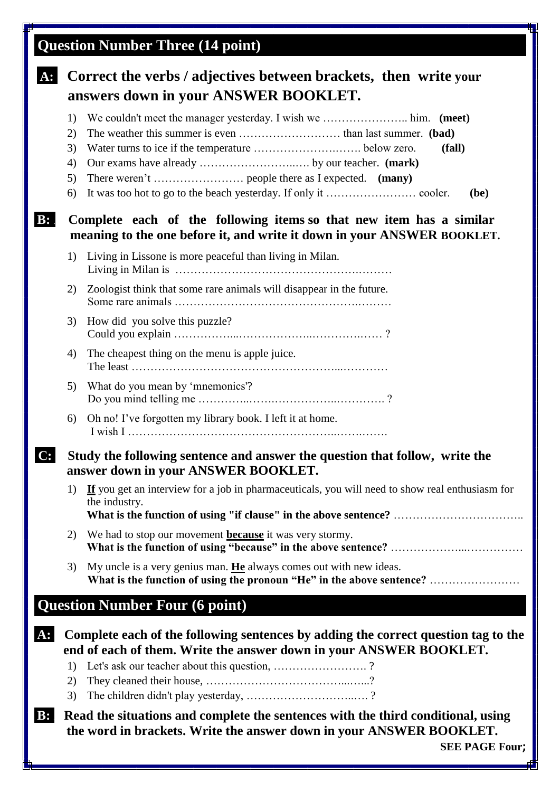# **Question Number Three (14 point)**

# **A: Correct the verbs / adjectives between brackets, then write your answers down in your ANSWER BOOKLET.** 1) We couldn't meet the manager yesterday. I wish we ………………….. him. **(meet)** 2) The weather this summer is even ……………………… than last summer. **(bad)** 3) Water turns to ice if the temperature ………………….……. below zero. **(fall)** 4) Our exams have already ……………………..…. by our teacher. **(mark)** 5) There weren't …………………… people there as I expected. **(many)** 6) It was too hot to go to the beach yesterday. If only it …………………… cooler. **(be) B:** . **Complete each of the following items so that new item has a similar meaning to the one before it, and write it down in your ANSWER BOOKLET.** 1) Living in Lissone is more peaceful than living in Milan. Living in Milan is ………………………………………….……… 2) Zoologist think that some rare animals will disappear in the future. Some rare animals ………………………………………….……… 3) How did you solve this puzzle? Could you explain ……………...………………..………….…… ? 4) The cheapest thing on the menu is apple juice. The least ………………………………………………...………… 5) What do you mean by 'mnemonics'? Do you mind telling me …………..…….……………..…………. ? 6) Oh no! I've forgotten my library book. I left it at home. I wish I ………………………………………………..…….……. **C: Study the following sentence and answer the question that follow, write the answer down in your ANSWER BOOKLET.** 1) **If** you get an interview for a job in pharmaceuticals, you will need to show real enthusiasm for the industry.  **What is the function of using "if clause" in the above sentence?** …………………………….. 2) We had to stop our movement **because** it was very stormy. **What is the function of using "because" in the above sentence?** ………………...…………… 3) My uncle is a very genius man. **He** always comes out with new ideas. **What is the function of using the pronoun "He" in the above sentence?** …………………… **Question Number Four (6 point) A: Complete each of the following sentences by adding the correct question tag to the end of each of them. Write the answer down in your ANSWER BOOKLET.** 1) Let's ask our teacher about this question, ……………………. ? 2) They cleaned their house, ………………………………...…...? 3) The children didn't play yesterday, ………………………..…. ? **B:** . **Read the situations and complete the sentences with the third conditional, using the word in brackets. Write the answer down in your ANSWER BOOKLET. SEE PAGE Four;**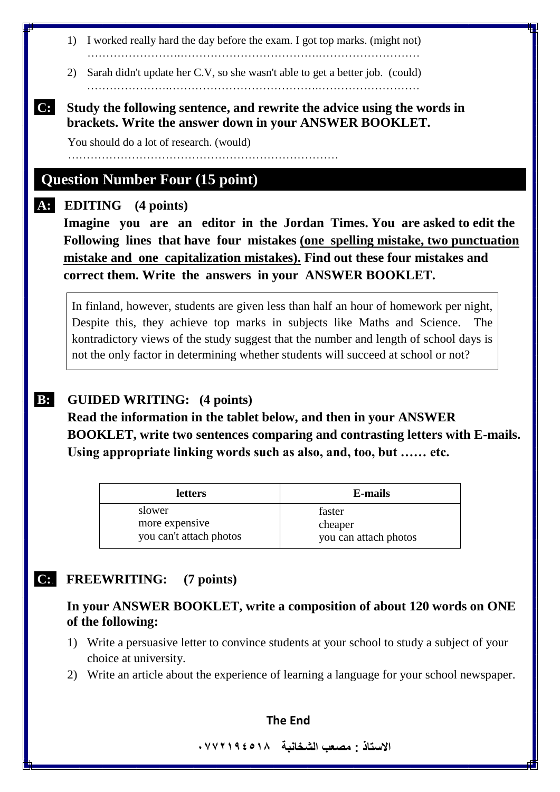1) I worked really hard the day before the exam. I got top marks. (might not)

…………………….……………………………….………………………

2) Sarah didn't update her C.V, so she wasn't able to get a better job. (could)

………………….………………………………….………………………

### **C: Study the following sentence, and rewrite the advice using the words in brackets. Write the answer down in your ANSWER BOOKLET.**

You should do a lot of research. (would)

………………………………………………………………

## **Question Number Four (15 point)**

### **A: EDITING (4 points)**

 **Imagine you are an editor in the Jordan Times. You are asked to edit the Following lines that have four mistakes (one spelling mistake, two punctuation mistake and one capitalization mistakes). Find out these four mistakes and correct them. Write the answers in your ANSWER BOOKLET.**

In finland, however, students are given less than half an hour of homework per night, Despite this, they achieve top marks in subjects like Maths and Science. The kontradictory views of the study suggest that the number and length of school days is not the only factor in determining whether students will succeed at school or not?

### **B:** . **GUIDED WRITING: (4 points)**

**Read the information in the tablet below, and then in your ANSWER BOOKLET, write two sentences comparing and contrasting letters with E-mails. Using appropriate linking words such as also, and, too, but …… etc.**

| <b>letters</b>          | <b>E-mails</b>        |
|-------------------------|-----------------------|
| slower                  | faster                |
| more expensive          | cheaper               |
| you can't attach photos | you can attach photos |

## **C:. FREEWRITING: (7 points)**

### **In your ANSWER BOOKLET, write a composition of about 120 words on ONE of the following:**

- 1) Write a persuasive letter to convince students at your school to study a subject of your choice at university.
- 2) Write an article about the experience of learning a language for your school newspaper.

#### **The End**

**االستاذ : مصعب الشخانبة 8554712770**